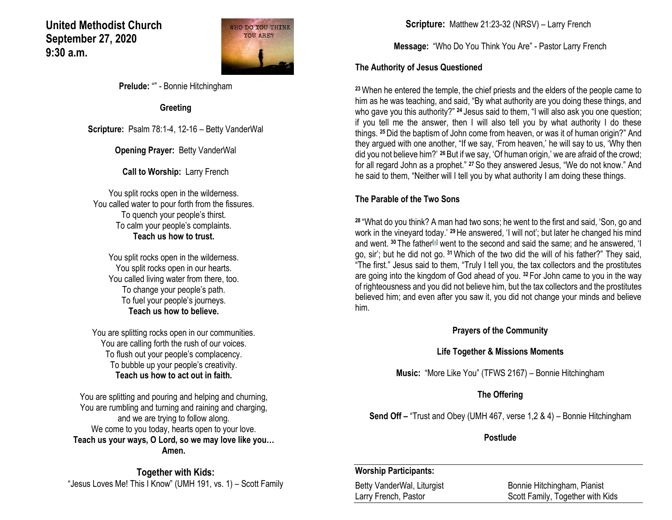## **United Methodist Church September 27, 2020 9:30 a.m.**



**Prelude:** "" - Bonnie Hitchingham

**Greeting**

**Scripture:** Psalm 78:1-4, 12-16 – Betty VanderWal

**Opening Prayer: Betty VanderWal** 

**Call to Worship:** Larry French

You split rocks open in the wilderness. You called water to pour forth from the fissures. To quench your people's thirst. To calm your people's complaints. **Teach us how to trust.**

> You split rocks open in the wilderness. You split rocks open in our hearts. You called living water from there, too. To change your people's path. To fuel your people's journeys. **Teach us how to believe.**

You are splitting rocks open in our communities. You are calling forth the rush of our voices. To flush out your people's complacency. To bubble up your people's creativity. **Teach us how to act out in faith.** 

You are splitting and pouring and helping and churning, You are rumbling and turning and raining and charging, and we are trying to follow along. We come to you today, hearts open to your love. **Teach us your ways, O Lord, so we may love like you… Amen.**

**Together with Kids:** "Jesus Loves Me! This I Know" (UMH 191, vs. 1) – Scott Family **Scripture:** Matthew 21:23-32 (NRSV) – Larry French

**Message:** "Who Do You Think You Are" - Pastor Larry French

#### **The Authority of Jesus Questioned**

**<sup>23</sup>**When he entered the temple, the chief priests and the elders of the people came to him as he was teaching, and said, "By what authority are you doing these things, and who gave you this authority?" <sup>24</sup> Jesus said to them, "I will also ask you one question; if you tell me the answer, then I will also tell you by what authority I do these things. **<sup>25</sup>**Did the baptism of John come from heaven, or was it of human origin?" And they argued with one another, "If we say, 'From heaven,' he will say to us, 'Why then did you not believe him?' **<sup>26</sup>**But if we say, 'Of human origin,' we are afraid of the crowd; for all regard John as a prophet." **<sup>27</sup>**So they answered Jesus, "We do not know." And he said to them, "Neither will I tell you by what authority I am doing these things.

### **The Parable of the Two Sons**

**<sup>28</sup>** "What do you think? A man had two sons; he went to the first and said, 'Son, go and work in the vineyard today.' **<sup>29</sup>**He answered, 'I will not'; but later he changed his mind and went. <sup>30</sup> The father<sup>[\[a\]](https://www.biblegateway.com/passage/?search=Matthew+21%3A23-32&version=NRSV#fen-NRSV-23855a)</sup> went to the second and said the same; and he answered, 'I go, sir'; but he did not go. **<sup>31</sup>**Which of the two did the will of his father?" They said, "The first." Jesus said to them, "Truly I tell you, the tax collectors and the prostitutes are going into the kingdom of God ahead of you. **<sup>32</sup>** For John came to you in the way of righteousness and you did not believe him, but the tax collectors and the prostitutes believed him; and even after you saw it, you did not change your minds and believe him.

**Prayers of the Community**

#### **Life Together & Missions Moments**

**Music:** "More Like You" (TFWS 2167) – Bonnie Hitchingham

#### **The Offering**

**Send Off –** "Trust and Obey (UMH 467, verse 1,2 & 4) – Bonnie Hitchingham

**Postlude**

#### **Worship Participants:**

Betty VanderWal, Liturgist **Bonnie Hitchingham, Pianist** Larry French, Pastor **Scott Family, Together with Kids**